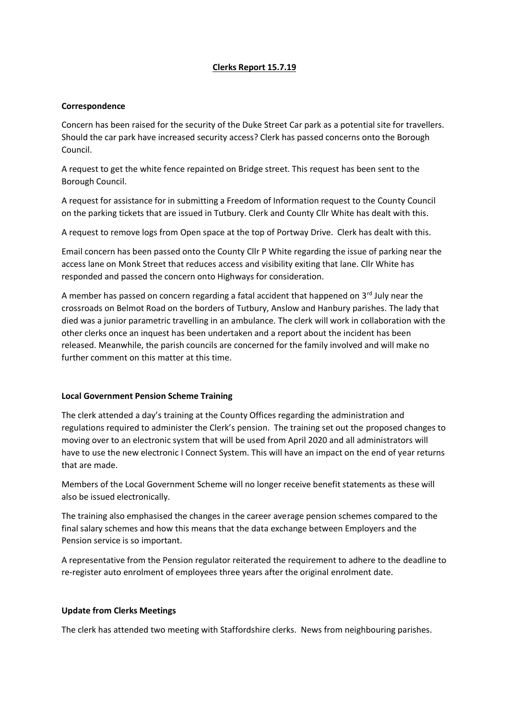### **Clerks Report 15.7.19**

#### **Correspondence**

Concern has been raised for the security of the Duke Street Car park as a potential site for travellers. Should the car park have increased security access? Clerk has passed concerns onto the Borough Council.

A request to get the white fence repainted on Bridge street. This request has been sent to the Borough Council.

A request for assistance for in submitting a Freedom of Information request to the County Council on the parking tickets that are issued in Tutbury. Clerk and County Cllr White has dealt with this.

A request to remove logs from Open space at the top of Portway Drive. Clerk has dealt with this.

Email concern has been passed onto the County Cllr P White regarding the issue of parking near the access lane on Monk Street that reduces access and visibility exiting that lane. Cllr White has responded and passed the concern onto Highways for consideration.

A member has passed on concern regarding a fatal accident that happened on  $3^{rd}$  July near the crossroads on Belmot Road on the borders of Tutbury, Anslow and Hanbury parishes. The lady that died was a junior parametric travelling in an ambulance. The clerk will work in collaboration with the other clerks once an inquest has been undertaken and a report about the incident has been released. Meanwhile, the parish councils are concerned for the family involved and will make no further comment on this matter at this time.

# **Local Government Pension Scheme Training**

The clerk attended a day's training at the County Offices regarding the administration and regulations required to administer the Clerk's pension. The training set out the proposed changes to moving over to an electronic system that will be used from April 2020 and all administrators will have to use the new electronic I Connect System. This will have an impact on the end of year returns that are made.

Members of the Local Government Scheme will no longer receive benefit statements as these will also be issued electronically.

The training also emphasised the changes in the career average pension schemes compared to the final salary schemes and how this means that the data exchange between Employers and the Pension service is so important.

A representative from the Pension regulator reiterated the requirement to adhere to the deadline to re-register auto enrolment of employees three years after the original enrolment date.

# **Update from Clerks Meetings**

The clerk has attended two meeting with Staffordshire clerks. News from neighbouring parishes.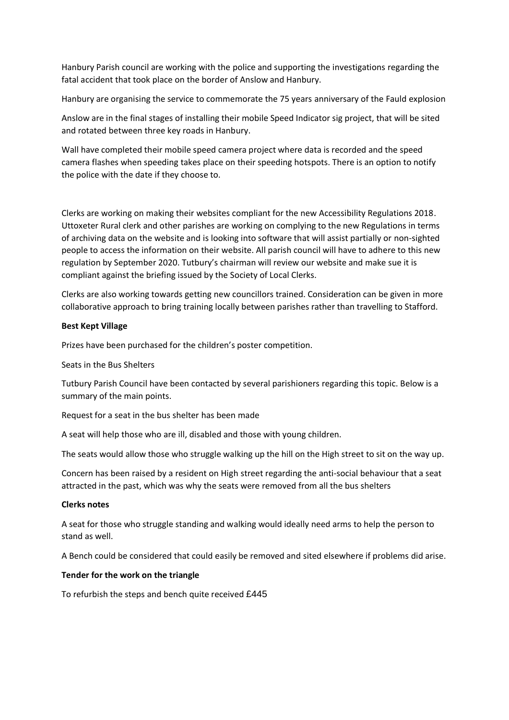Hanbury Parish council are working with the police and supporting the investigations regarding the fatal accident that took place on the border of Anslow and Hanbury.

Hanbury are organising the service to commemorate the 75 years anniversary of the Fauld explosion

Anslow are in the final stages of installing their mobile Speed Indicator sig project, that will be sited and rotated between three key roads in Hanbury.

Wall have completed their mobile speed camera project where data is recorded and the speed camera flashes when speeding takes place on their speeding hotspots. There is an option to notify the police with the date if they choose to.

Clerks are working on making their websites compliant for the new Accessibility Regulations 2018. Uttoxeter Rural clerk and other parishes are working on complying to the new Regulations in terms of archiving data on the website and is looking into software that will assist partially or non-sighted people to access the information on their website. All parish council will have to adhere to this new regulation by September 2020. Tutbury's chairman will review our website and make sue it is compliant against the briefing issued by the Society of Local Clerks.

Clerks are also working towards getting new councillors trained. Consideration can be given in more collaborative approach to bring training locally between parishes rather than travelling to Stafford.

#### **Best Kept Village**

Prizes have been purchased for the children's poster competition.

Seats in the Bus Shelters

Tutbury Parish Council have been contacted by several parishioners regarding this topic. Below is a summary of the main points.

Request for a seat in the bus shelter has been made

A seat will help those who are ill, disabled and those with young children.

The seats would allow those who struggle walking up the hill on the High street to sit on the way up.

Concern has been raised by a resident on High street regarding the anti-social behaviour that a seat attracted in the past, which was why the seats were removed from all the bus shelters

#### **Clerks notes**

A seat for those who struggle standing and walking would ideally need arms to help the person to stand as well.

A Bench could be considered that could easily be removed and sited elsewhere if problems did arise.

#### **Tender for the work on the triangle**

To refurbish the steps and bench quite received £445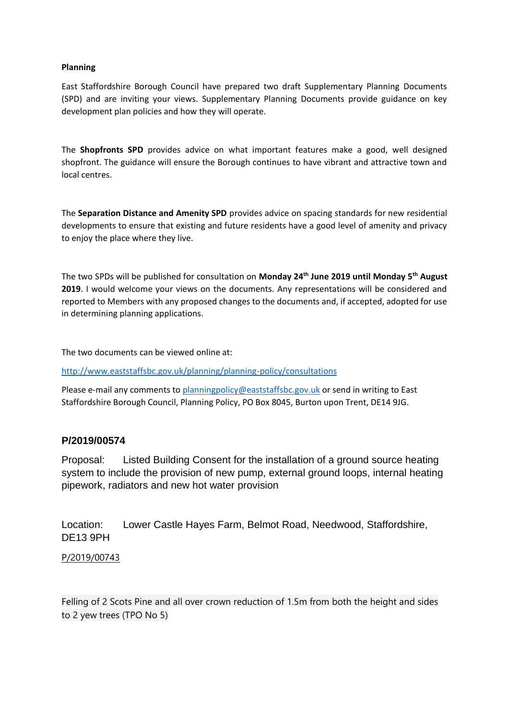#### **Planning**

East Staffordshire Borough Council have prepared two draft Supplementary Planning Documents (SPD) and are inviting your views. Supplementary Planning Documents provide guidance on key development plan policies and how they will operate.

The **Shopfronts SPD** provides advice on what important features make a good, well designed shopfront. The guidance will ensure the Borough continues to have vibrant and attractive town and local centres.

The **Separation Distance and Amenity SPD** provides advice on spacing standards for new residential developments to ensure that existing and future residents have a good level of amenity and privacy to enjoy the place where they live.

The two SPDs will be published for consultation on **Monday 24th June 2019 until Monday 5th August 2019**. I would welcome your views on the documents. Any representations will be considered and reported to Members with any proposed changes to the documents and, if accepted, adopted for use in determining planning applications.

The two documents can be viewed online at:

<http://www.eaststaffsbc.gov.uk/planning/planning-policy/consultations>

Please e-mail any comments to [planningpolicy@eaststaffsbc.gov.uk](mailto:planningpolicy@eaststaffsbc.gov.uk) or send in writing to East Staffordshire Borough Council, Planning Policy, PO Box 8045, Burton upon Trent, DE14 9JG.

# **P/2019/00574**

Proposal: Listed Building Consent for the installation of a ground source heating system to include the provision of new pump, external ground loops, internal heating pipework, radiators and new hot water provision

Location: Lower Castle Hayes Farm, Belmot Road, Needwood, Staffordshire, DE13 9PH

[P/2019/00743](http://www.eaststaffsbc.gov.uk/MVM/Online/dms/DocumentViewer.aspx?PK=633726&SearchType=Planning%20Application)

Felling of 2 Scots Pine and all over crown reduction of 1.5m from both the height and sides to 2 yew trees (TPO No 5)